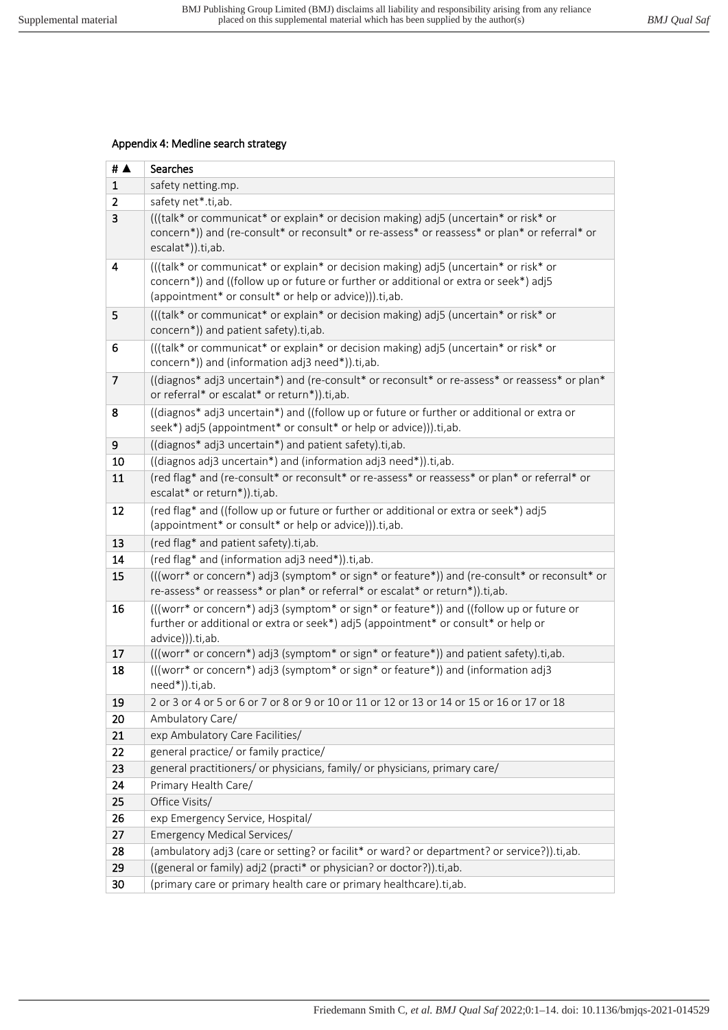## Appendix 4: Medline search strategy

| # $\blacktriangle$ | Searches                                                                                                                                                                                                                               |
|--------------------|----------------------------------------------------------------------------------------------------------------------------------------------------------------------------------------------------------------------------------------|
| $\mathbf{1}$       | safety netting.mp.                                                                                                                                                                                                                     |
| 2                  | safety net*.ti,ab.                                                                                                                                                                                                                     |
| 3                  | (((talk* or communicat* or explain* or decision making) adj5 (uncertain* or risk* or<br>concern*)) and (re-consult* or reconsult* or re-assess* or reassess* or plan* or referral* or<br>escalat*)).ti,ab.                             |
| 4                  | (((talk* or communicat* or explain* or decision making) adj5 (uncertain* or risk* or<br>concern*)) and ((follow up or future or further or additional or extra or seek*) adj5<br>(appointment* or consult* or help or advice))).ti,ab. |
| 5                  | (((talk* or communicat* or explain* or decision making) adj5 (uncertain* or risk* or<br>concern*)) and patient safety).ti,ab.                                                                                                          |
| 6                  | (((talk* or communicat* or explain* or decision making) adj5 (uncertain* or risk* or<br>concern*)) and (information adj3 need*)).ti,ab.                                                                                                |
| $\overline{7}$     | ((diagnos* adj3 uncertain*) and (re-consult* or reconsult* or re-assess* or reassess* or plan*<br>or referral* or escalat* or return*)).ti,ab.                                                                                         |
| 8                  | ((diagnos* adj3 uncertain*) and ((follow up or future or further or additional or extra or<br>seek*) adj5 (appointment* or consult* or help or advice))).ti,ab.                                                                        |
| 9                  | ((diagnos* adj3 uncertain*) and patient safety).ti,ab.                                                                                                                                                                                 |
| 10                 | ((diagnos adj3 uncertain*) and (information adj3 need*)).ti,ab.                                                                                                                                                                        |
| 11                 | (red flag* and (re-consult* or reconsult* or re-assess* or reassess* or plan* or referral* or<br>escalat* or return*)).ti,ab.                                                                                                          |
| 12                 | (red flag* and ((follow up or future or further or additional or extra or seek*) adj5<br>(appointment* or consult* or help or advice))).ti,ab.                                                                                         |
| 13                 | (red flag* and patient safety).ti,ab.                                                                                                                                                                                                  |
| 14                 | (red flag* and (information adj3 need*)).ti,ab.                                                                                                                                                                                        |
| 15                 | (((worr* or concern*) adj3 (symptom* or sign* or feature*)) and (re-consult* or reconsult* or<br>re-assess* or reassess* or plan* or referral* or escalat* or return*)).ti,ab.                                                         |
| 16                 | (((worr* or concern*) adj3 (symptom* or sign* or feature*)) and ((follow up or future or<br>further or additional or extra or seek*) adj5 (appointment* or consult* or help or<br>advice))).ti,ab.                                     |
| 17                 | (((worr* or concern*) adj3 (symptom* or sign* or feature*)) and patient safety).ti,ab.                                                                                                                                                 |
| 18                 | (((worr* or concern*) adj3 (symptom* or sign* or feature*)) and (information adj3<br>need*)).ti,ab.                                                                                                                                    |
| 19                 | 2 or 3 or 4 or 5 or 6 or 7 or 8 or 9 or 10 or 11 or 12 or 13 or 14 or 15 or 16 or 17 or 18                                                                                                                                             |
| 20                 | Ambulatory Care/                                                                                                                                                                                                                       |
| 21                 | exp Ambulatory Care Facilities/                                                                                                                                                                                                        |
| 22                 | general practice/ or family practice/                                                                                                                                                                                                  |
| 23                 | general practitioners/ or physicians, family/ or physicians, primary care/                                                                                                                                                             |
| 24                 | Primary Health Care/                                                                                                                                                                                                                   |
| 25                 | Office Visits/                                                                                                                                                                                                                         |
| 26                 | exp Emergency Service, Hospital/                                                                                                                                                                                                       |
| 27                 | Emergency Medical Services/                                                                                                                                                                                                            |
| 28                 | (ambulatory adj3 (care or setting? or facilit* or ward? or department? or service?)).ti,ab.                                                                                                                                            |
| 29                 | ((general or family) adj2 (practi* or physician? or doctor?)).ti,ab.                                                                                                                                                                   |
| 30                 | (primary care or primary health care or primary healthcare).ti,ab.                                                                                                                                                                     |